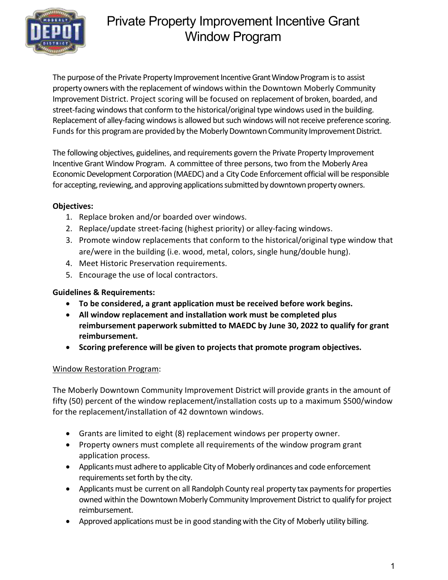

The purpose of the Private Property Improvement Incentive Grant Window Program is to assist property owners with the replacement of windows within the Downtown Moberly Community Improvement District. Project scoring will be focused on replacement of broken, boarded, and street-facing windows that conform to the historical/original type windows used in the building. Replacement of alley-facing windows is allowed but such windows will not receive preference scoring. Funds for this program are provided by the Moberly Downtown Community Improvement District.

The following objectives, guidelines, and requirements govern the Private Property Improvement Incentive Grant Window Program. A committee of three persons, two from the Moberly Area Economic Development Corporation (MAEDC) and a City Code Enforcement official will be responsible for accepting, reviewing, and approving applications submitted by downtown property owners.

#### Objectives:

- 1. Replace broken and/or boarded over windows.
- 2. Replace/update street-facing (highest priority) or alley-facing windows.
- 3. Promote window replacements that conform to the historical/original type window that are/were in the building (i.e. wood, metal, colors, single hung/double hung).
- 4. Meet Historic Preservation requirements.
- 5. Encourage the use of local contractors.

#### Guidelines & Requirements:

- To be considered, a grant application must be received before work begins.
- All window replacement and installation work must be completed plus reimbursement paperwork submitted to MAEDC by June 30, 2022 to qualify for grant reimbursement.
- Scoring preference will be given to projects that promote program objectives.

#### Window Restoration Program:

The Moberly Downtown Community Improvement District will provide grants in the amount of fifty (50) percent of the window replacement/installation costs up to a maximum \$500/window for the replacement/installation of 42 downtown windows.

- Grants are limited to eight (8) replacement windows per property owner.
- Property owners must complete all requirements of the window program grant application process.
- Applicants must adhere to applicable City of Moberly ordinances and code enforcement requirements set forth by the city.
- Applicants must be current on all Randolph County real property tax payments for properties owned within the Downtown Moberly Community Improvement District to qualify for project reimbursement.
- Approved applications must be in good standing with the City of Moberly utility billing.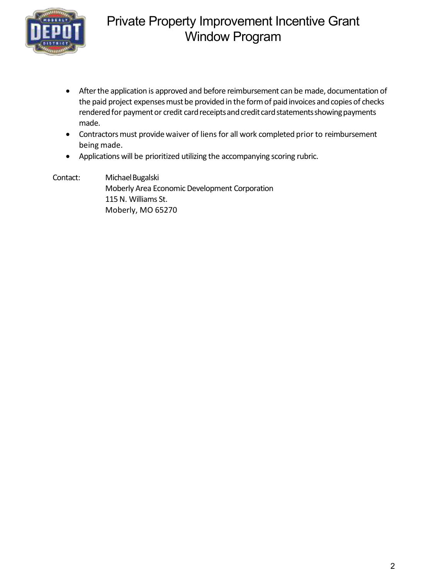

- After the application is approved and before reimbursement can be made, documentation of the paid project expenses must be provided in the form of paid invoices and copies of checks rendered for payment or credit card receipts and credit card statements showing payments made.
- Contractors must provide waiver of liens for all work completed prior to reimbursement being made.
- Applications will be prioritized utilizing the accompanying scoring rubric.

Contact: Michael Bugalski Moberly Area Economic Development Corporation 115 N. Williams St. Moberly, MO 65270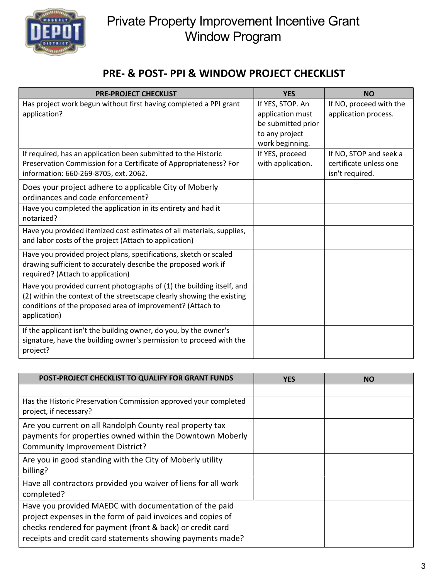

#### PRE- & POST- PPI & WINDOW PROJECT CHECKLIST

| <b>PRE-PROJECT CHECKLIST</b>                                                                                                                                                                                                  | <b>YES</b>                                                                                      | <b>NO</b>                                                           |
|-------------------------------------------------------------------------------------------------------------------------------------------------------------------------------------------------------------------------------|-------------------------------------------------------------------------------------------------|---------------------------------------------------------------------|
| Has project work begun without first having completed a PPI grant<br>application?                                                                                                                                             | If YES, STOP. An<br>application must<br>be submitted prior<br>to any project<br>work beginning. | If NO, proceed with the<br>application process.                     |
| If required, has an application been submitted to the Historic<br>Preservation Commission for a Certificate of Appropriateness? For<br>information: 660-269-8705, ext. 2062.                                                  | If YES, proceed<br>with application.                                                            | If NO, STOP and seek a<br>certificate unless one<br>isn't required. |
| Does your project adhere to applicable City of Moberly<br>ordinances and code enforcement?                                                                                                                                    |                                                                                                 |                                                                     |
| Have you completed the application in its entirety and had it<br>notarized?                                                                                                                                                   |                                                                                                 |                                                                     |
| Have you provided itemized cost estimates of all materials, supplies,<br>and labor costs of the project (Attach to application)                                                                                               |                                                                                                 |                                                                     |
| Have you provided project plans, specifications, sketch or scaled<br>drawing sufficient to accurately describe the proposed work if<br>required? (Attach to application)                                                      |                                                                                                 |                                                                     |
| Have you provided current photographs of (1) the building itself, and<br>(2) within the context of the streetscape clearly showing the existing<br>conditions of the proposed area of improvement? (Attach to<br>application) |                                                                                                 |                                                                     |
| If the applicant isn't the building owner, do you, by the owner's<br>signature, have the building owner's permission to proceed with the<br>project?                                                                          |                                                                                                 |                                                                     |

| POST-PROJECT CHECKLIST TO QUALIFY FOR GRANT FUNDS                                                                                                                                                                                                | <b>YES</b> | <b>NO</b> |
|--------------------------------------------------------------------------------------------------------------------------------------------------------------------------------------------------------------------------------------------------|------------|-----------|
|                                                                                                                                                                                                                                                  |            |           |
| Has the Historic Preservation Commission approved your completed<br>project, if necessary?                                                                                                                                                       |            |           |
| Are you current on all Randolph County real property tax<br>payments for properties owned within the Downtown Moberly<br><b>Community Improvement District?</b>                                                                                  |            |           |
| Are you in good standing with the City of Moberly utility<br>billing?                                                                                                                                                                            |            |           |
| Have all contractors provided you waiver of liens for all work<br>completed?                                                                                                                                                                     |            |           |
| Have you provided MAEDC with documentation of the paid<br>project expenses in the form of paid invoices and copies of<br>checks rendered for payment (front & back) or credit card<br>receipts and credit card statements showing payments made? |            |           |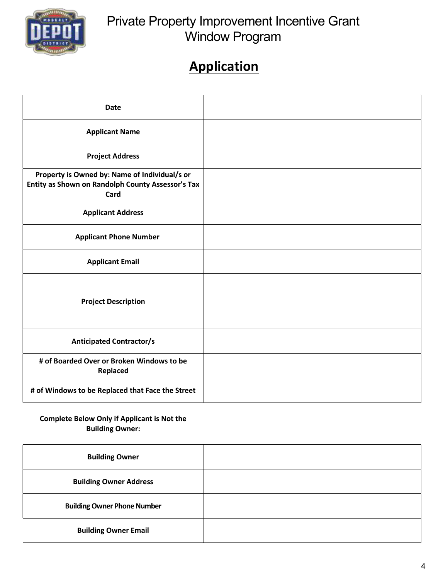

# **Application**

| <b>Date</b>                                                                                                |  |
|------------------------------------------------------------------------------------------------------------|--|
| <b>Applicant Name</b>                                                                                      |  |
| <b>Project Address</b>                                                                                     |  |
| Property is Owned by: Name of Individual/s or<br>Entity as Shown on Randolph County Assessor's Tax<br>Card |  |
| <b>Applicant Address</b>                                                                                   |  |
| <b>Applicant Phone Number</b>                                                                              |  |
| <b>Applicant Email</b>                                                                                     |  |
| <b>Project Description</b>                                                                                 |  |
| <b>Anticipated Contractor/s</b>                                                                            |  |
| # of Boarded Over or Broken Windows to be<br>Replaced                                                      |  |
| # of Windows to be Replaced that Face the Street                                                           |  |

#### Complete Below Only if Applicant is Not the Building Owner:

| <b>Building Owner</b>              |  |
|------------------------------------|--|
| <b>Building Owner Address</b>      |  |
| <b>Building Owner Phone Number</b> |  |
| <b>Building Owner Email</b>        |  |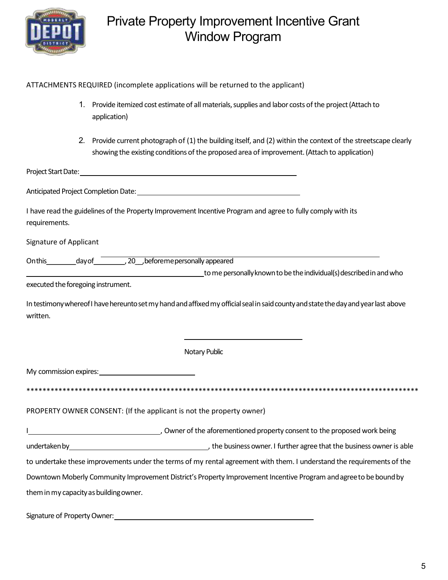

| ATTACHMENTS REQUIRED (incomplete applications will be returned to the applicant) |  |  |
|----------------------------------------------------------------------------------|--|--|
|                                                                                  |  |  |

- 1. Provide itemized cost estimate of all materials, supplies and labor costs of the project (Attach to application)
- 2. Provide current photograph of (1) the building itself, and (2) within the context of the streetscape clearly showing the existing conditions of the proposed area of improvement. (Attach to application)

Project Start Date:

Anticipated Project Completion Date: North Anticipated Project Completion Date:

| I have read the guidelines of the Property Improvement Incentive Program and agree to fully comply with its |  |
|-------------------------------------------------------------------------------------------------------------|--|
| requirements.                                                                                               |  |

Signature of Applicant

to me personally known to be the individual(s) described in and who

executed the foregoing instrument.

In testimony whereof I have hereunto set my hand and affixed my official seal in said county and state the day and year last above written.

Notary Public

My commission expires:

\*\*\*\*\*\*\*\*\*\*\*\*\*\*\*\*\*\*\*\*\*\*\*\*\*\*\*\*\*\*\*\*\* 

PROPERTY OWNER CONSENT: (If the applicant is not the property owner)

\_\_ Owner of the aforementioned property consent to the proposed work being undertaken by 1.1 and 1.1 and 1.1 and 1.1 and 1.1 and 1.1 and 1.1 and 1.1 and 1.1 and 1.1 and 1.1 and 1.1 and 1 to undertake these improvements under the terms of my rental agreement with them. I understand the requirements of the Downtown Moberly Community Improvement District's Property Improvement Incentive Program and agree to be bound by them in my capacity as building owner.

Signature of Property Owner: Note and the state of Property Owner: